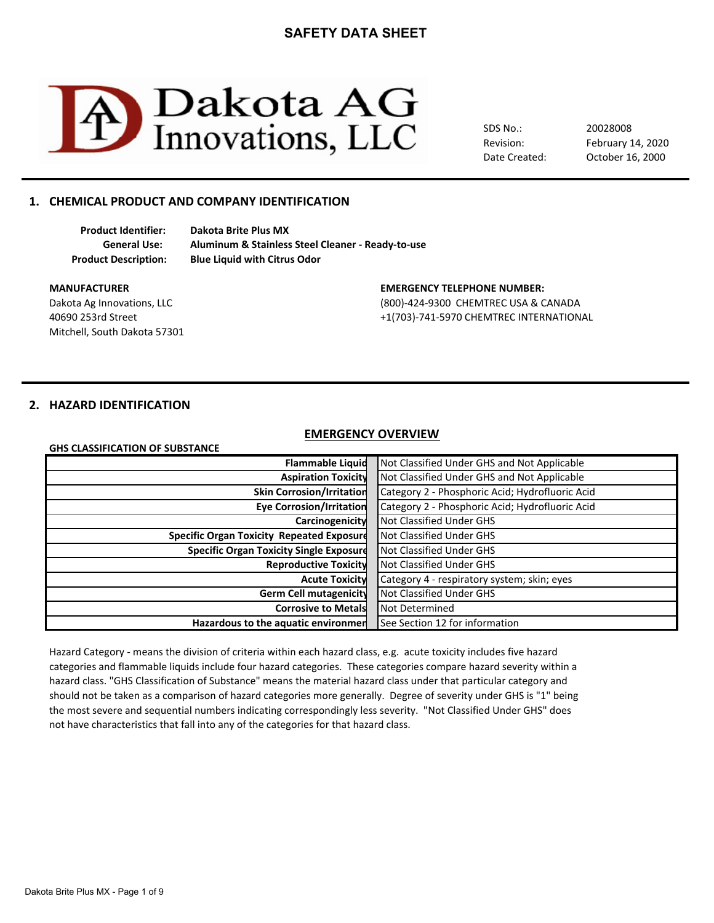

SDS No.: Revision: Date Created: February 14, 2020 20028008 October 16, 2000

# **1. CHEMICAL PRODUCT AND COMPANY IDENTIFICATION**

**Product Identifier: Dakota Brite Plus MX General Use: Aluminum & Stainless Steel Cleaner - Ready-to-use Product Description: Blue Liquid with Citrus Odor**

Mitchell, South Dakota 57301

#### **MANUFACTURER EMERGENCY TELEPHONE NUMBER:**

Dakota Ag Innovations, LLC (800)-424-9300 CHEMTREC USA & CANADA 40690 253rd Street +1(703)-741-5970 CHEMTREC INTERNATIONAL

# **2. HAZARD IDENTIFICATION**

### **EMERGENCY OVERVIEW**

| GHS CLASSIFICATION OF SUBSTANCE |  |  |
|---------------------------------|--|--|
|---------------------------------|--|--|

| <b>Flammable Liquid</b>                          | Not Classified Under GHS and Not Applicable     |
|--------------------------------------------------|-------------------------------------------------|
| <b>Aspiration Toxicity</b>                       | Not Classified Under GHS and Not Applicable     |
| <b>Skin Corrosion/Irritation</b>                 | Category 2 - Phosphoric Acid; Hydrofluoric Acid |
| <b>Eye Corrosion/Irritation</b>                  | Category 2 - Phosphoric Acid; Hydrofluoric Acid |
| Carcinogenicity                                  | Not Classified Under GHS                        |
| <b>Specific Organ Toxicity Repeated Exposure</b> | Not Classified Under GHS                        |
| <b>Specific Organ Toxicity Single Exposure</b>   | Not Classified Under GHS                        |
| <b>Reproductive Toxicity</b>                     | Not Classified Under GHS                        |
| <b>Acute Toxicity</b>                            | Category 4 - respiratory system; skin; eyes     |
| Germ Cell mutagenicity                           | Not Classified Under GHS                        |
| <b>Corrosive to Metals</b>                       | Not Determined                                  |
| Hazardous to the aquatic environmen              | See Section 12 for information                  |

Hazard Category - means the division of criteria within each hazard class, e.g. acute toxicity includes five hazard hazard class. "GHS Classification of Substance" means the material hazard class under that particular category and should not be taken as a comparison of hazard categories more generally. Degree of severity under GHS is "1" being not have characteristics that fall into any of the categories for that hazard class. categories and flammable liquids include four hazard categories. These categories compare hazard severity within a the most severe and sequential numbers indicating correspondingly less severity. "Not Classified Under GHS" does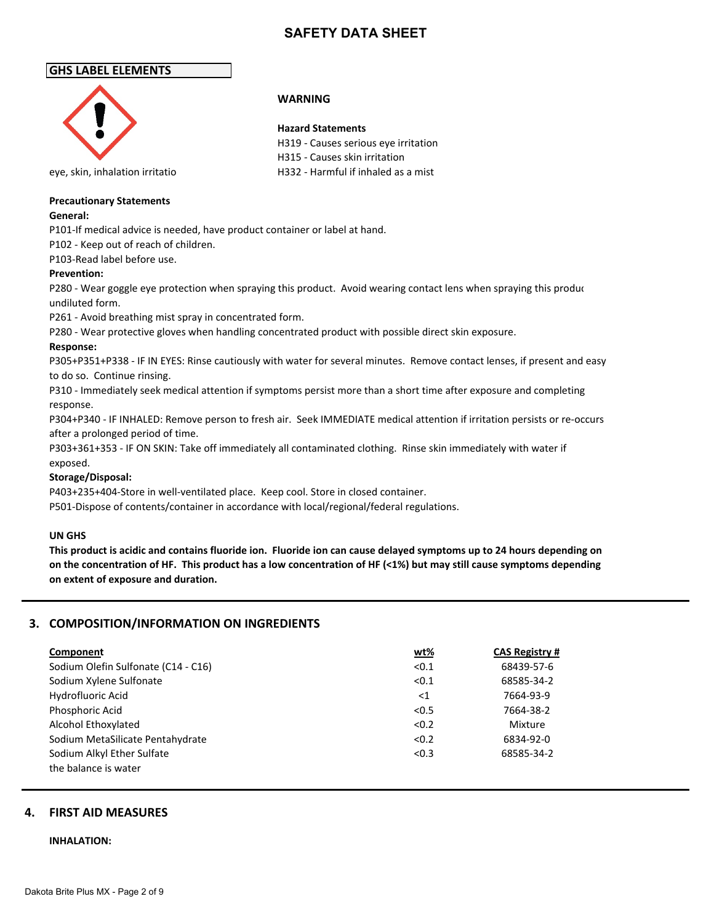# **GHS LABEL ELEMENTS**



### **WARNING**

### **Hazard Statements**

H319 - Causes serious eye irritation H315 - Causes skin irritation eye, skin, inhalation irritatio H332 - Harmful if inhaled as a mist

### **Precautionary Statements**

### **General:**

P101-If medical advice is needed, have product container or label at hand.

P102 - Keep out of reach of children.

P103-Read label before use.

### **Prevention:**

P280 - Wear goggle eye protection when spraying this product. Avoid wearing contact lens when spraying this produc undiluted form.

P261 - Avoid breathing mist spray in concentrated form.

P280 - Wear protective gloves when handling concentrated product with possible direct skin exposure.

### **Response:**

P305+P351+P338 - IF IN EYES: Rinse cautiously with water for several minutes. Remove contact lenses, if present and easy to do so. Continue rinsing.

P310 - Immediately seek medical attention if symptoms persist more than a short time after exposure and completing response.

P304+P340 - IF INHALED: Remove person to fresh air. Seek IMMEDIATE medical attention if irritation persists or re-occurs after a prolonged period of time.

P303+361+353 - IF ON SKIN: Take off immediately all contaminated clothing. Rinse skin immediately with water if exposed.

### **Storage/Disposal:**

P403+235+404-Store in well-ventilated place. Keep cool. Store in closed container.

P501-Dispose of contents/container in accordance with local/regional/federal regulations.

### **UN GHS**

**This product is acidic and contains fluoride ion. Fluoride ion can cause delayed symptoms up to 24 hours depending on on the concentration of HF. This product has a low concentration of HF (<1%) but may still cause symptoms depending on extent of exposure and duration.**

# **3. COMPOSITION/INFORMATION ON INGREDIENTS**

| Component                           | <u>wt%</u> | <b>CAS Registry #</b> |
|-------------------------------------|------------|-----------------------|
| Sodium Olefin Sulfonate (C14 - C16) | < 0.1      | 68439-57-6            |
| Sodium Xylene Sulfonate             | < 0.1      | 68585-34-2            |
| Hydrofluoric Acid                   | $<$ 1      | 7664-93-9             |
| Phosphoric Acid                     | < 0.5      | 7664-38-2             |
| Alcohol Ethoxylated                 | < 0.2      | Mixture               |
| Sodium MetaSilicate Pentahydrate    | < 0.2      | 6834-92-0             |
| Sodium Alkyl Ether Sulfate          | < 0.3      | 68585-34-2            |
| the balance is water                |            |                       |

# **4. FIRST AID MEASURES**

### **INHALATION:**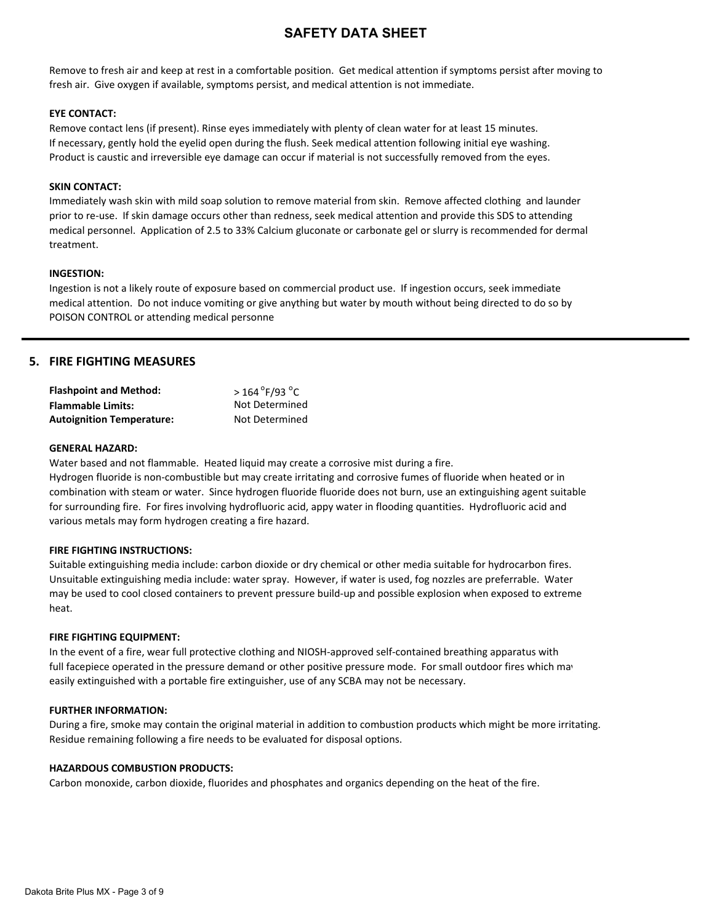Remove to fresh air and keep at rest in a comfortable position. Get medical attention if symptoms persist after moving to fresh air. Give oxygen if available, symptoms persist, and medical attention is not immediate.

### **EYE CONTACT:**

Remove contact lens (if present). Rinse eyes immediately with plenty of clean water for at least 15 minutes. If necessary, gently hold the eyelid open during the flush. Seek medical attention following initial eye washing. Product is caustic and irreversible eye damage can occur if material is not successfully removed from the eyes.

### **SKIN CONTACT:**

Immediately wash skin with mild soap solution to remove material from skin. Remove affected clothing and launder prior to re-use. If skin damage occurs other than redness, seek medical attention and provide this SDS to attending medical personnel. Application of 2.5 to 33% Calcium gluconate or carbonate gel or slurry is recommended for dermal treatment.

### **INGESTION:**

Ingestion is not a likely route of exposure based on commercial product use. If ingestion occurs, seek immediate medical attention. Do not induce vomiting or give anything but water by mouth without being directed to do so by POISON CONTROL or attending medical personne

# **5. FIRE FIGHTING MEASURES**

| <b>Flashpoint and Method:</b>    | $>$ 164 $\degree$ F/93 $\degree$ C |
|----------------------------------|------------------------------------|
| <b>Flammable Limits:</b>         | Not Determined                     |
| <b>Autoignition Temperature:</b> | Not Determined                     |

### **GENERAL HAZARD:**

Water based and not flammable. Heated liquid may create a corrosive mist during a fire.

Hydrogen fluoride is non-combustible but may create irritating and corrosive fumes of fluoride when heated or in combination with steam or water. Since hydrogen fluoride fluoride does not burn, use an extinguishing agent suitable for surrounding fire. For fires involving hydrofluoric acid, appy water in flooding quantities. Hydrofluoric acid and various metals may form hydrogen creating a fire hazard.

### **FIRE FIGHTING INSTRUCTIONS:**

Suitable extinguishing media include: carbon dioxide or dry chemical or other media suitable for hydrocarbon fires. Unsuitable extinguishing media include: water spray. However, if water is used, fog nozzles are preferrable. Water may be used to cool closed containers to prevent pressure build-up and possible explosion when exposed to extreme heat.

### **FIRE FIGHTING EQUIPMENT:**

In the event of a fire, wear full protective clothing and NIOSH-approved self-contained breathing apparatus with full facepiece operated in the pressure demand or other positive pressure mode. For small outdoor fires which may easily extinguished with a portable fire extinguisher, use of any SCBA may not be necessary.

### **FURTHER INFORMATION:**

During a fire, smoke may contain the original material in addition to combustion products which might be more irritating. Residue remaining following a fire needs to be evaluated for disposal options.

### **HAZARDOUS COMBUSTION PRODUCTS:**

Carbon monoxide, carbon dioxide, fluorides and phosphates and organics depending on the heat of the fire.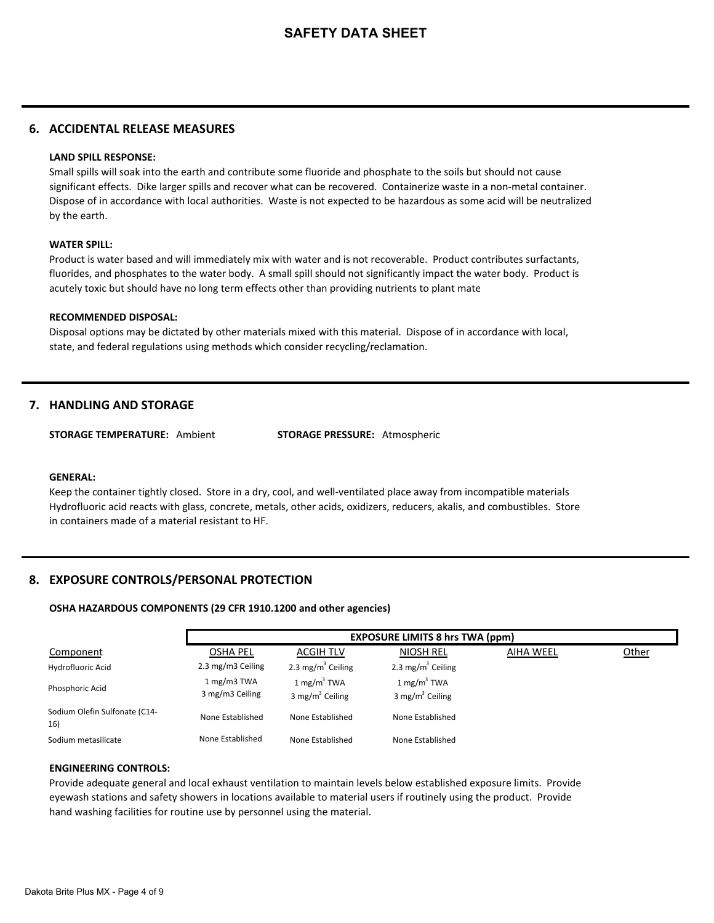# **6. ACCIDENTAL RELEASE MEASURES**

### **LAND SPILL RESPONSE:**

Small spills will soak into the earth and contribute some fluoride and phosphate to the soils but should not cause significant effects. Dike larger spills and recover what can be recovered. Containerize waste in a non-metal container. Dispose of in accordance with local authorities. Waste is not expected to be hazardous as some acid will be neutralized by the earth.

### **WATER SPILL:**

Product is water based and will immediately mix with water and is not recoverable. Product contributes surfactants, fluorides, and phosphates to the water body. A small spill should not significantly impact the water body. Product is acutely toxic but should have no long term effects other than providing nutrients to plant mate

### **RECOMMENDED DISPOSAL:**

Disposal options may be dictated by other materials mixed with this material. Dispose of in accordance with local, state, and federal regulations using methods which consider recycling/reclamation.

# **7. HANDLING AND STORAGE**

**STORAGE TEMPERATURE:** Ambient **STORAGE PRESSURE:** Atmospheric

#### **GENERAL:**

Keep the container tightly closed. Store in a dry, cool, and well-ventilated place away from incompatible materials Hydrofluoric acid reacts with glass, concrete, metals, other acids, oxidizers, reducers, akalis, and combustibles. Store in containers made of a material resistant to HF.

# **8. EXPOSURE CONTROLS/PERSONAL PROTECTION**

### **OSHA HAZARDOUS COMPONENTS (29 CFR 1910.1200 and other agencies)**

|                                      |                                |                                                       | <b>EXPOSURE LIMITS 8 hrs TWA (ppm)</b>                |                  |       |
|--------------------------------------|--------------------------------|-------------------------------------------------------|-------------------------------------------------------|------------------|-------|
| Component                            | <b>OSHA PEL</b>                | <b>ACGIH TLV</b>                                      | <b>NIOSH REL</b>                                      | <b>AIHA WEEL</b> | Other |
| Hydrofluoric Acid                    | 2.3 mg/m3 Ceiling              | 2.3 mg/m <sup>3</sup> Ceiling                         | 2.3 mg/m <sup>3</sup> Ceiling                         |                  |       |
| Phosphoric Acid                      | 1 mg/m3 TWA<br>3 mg/m3 Ceiling | $1 \text{ mg/m}^3$ TWA<br>3 mg/m <sup>3</sup> Ceiling | $1 \text{ mg/m}^3$ TWA<br>3 mg/m <sup>3</sup> Ceiling |                  |       |
| Sodium Olefin Sulfonate (C14-<br>16) | None Established               | None Established                                      | None Established                                      |                  |       |
| Sodium metasilicate                  | None Established               | None Established                                      | None Established                                      |                  |       |

### **ENGINEERING CONTROLS:**

Provide adequate general and local exhaust ventilation to maintain levels below established exposure limits. Provide eyewash stations and safety showers in locations available to material users if routinely using the product. Provide hand washing facilities for routine use by personnel using the material.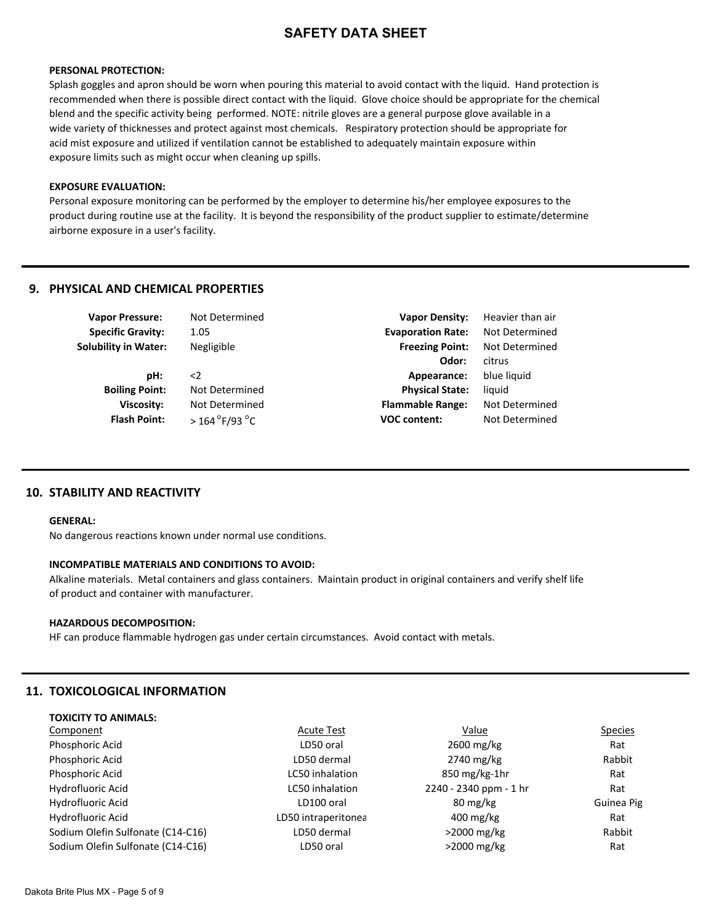#### **PERSONAL PROTECTION:**

Splash goggles and apron should be worn when pouring this material to avoid contact with the liquid. Hand protection is recommended when there is possible direct contact with the liquid. Glove choice should be appropriate for the chemical blend and the specific activity being performed. NOTE: nitrile gloves are a general purpose glove available in a wide variety of thicknesses and protect against most chemicals. Respiratory protection should be appropriate for acid mist exposure and utilized if ventilation cannot be established to adequately maintain exposure within exposure limits such as might occur when cleaning up spills.

### **EXPOSURE EVALUATION:**

Personal exposure monitoring can be performed by the employer to determine his/her employee exposures to the product during routine use at the facility. It is beyond the responsibility of the product supplier to estimate/determine airborne exposure in a user's facility.

# **9. PHYSICAL AND CHEMICAL PROPERTIES**

**Flash Point:** 

| <b>Vapor Pressure:</b>      | Not Determined | <b>Vapor Density:</b>    | Heavi  |
|-----------------------------|----------------|--------------------------|--------|
| <b>Specific Gravity:</b>    | 1.05           | <b>Evaporation Rate:</b> | Not D  |
| <b>Solubility in Water:</b> | Negligible     | <b>Freezing Point:</b>   | Not D  |
|                             |                | Odor:                    | citrus |
| pH:                         | $\leq$         | Appearance:              | blue l |
| <b>Boiling Point:</b>       | Not Determined | <b>Physical State:</b>   | liquid |
| <b>Viscosity:</b>           | Not Determined | <b>Flammable Range:</b>  | Not D  |

**Heavier than air Not Determined Not Determined Odor:** citrus **blue liquid Not Determined VOC content:** Not Determined

### **10. STABILITY AND REACTIVITY**

#### **GENERAL:**

No dangerous reactions known under normal use conditions.

 $>$  164 $\degree$ F/93 $\degree$ C

### **INCOMPATIBLE MATERIALS AND CONDITIONS TO AVOID:**

Alkaline materials. Metal containers and glass containers. Maintain product in original containers and verify shelf life of product and container with manufacturer.

### **HAZARDOUS DECOMPOSITION:**

HF can produce flammable hydrogen gas under certain circumstances. Avoid contact with metals.

# **11. TOXICOLOGICAL INFORMATION**

**TOXICITY TO ANIMALS:**

| 190001111970111177417777          |                     |                                    |                |
|-----------------------------------|---------------------|------------------------------------|----------------|
| Component                         | <b>Acute Test</b>   | Value                              | <b>Species</b> |
| Phosphoric Acid                   | LD50 oral           | 2600 mg/kg                         | Rat            |
| Phosphoric Acid                   | LD50 dermal         | 2740 mg/kg                         | Rabbit         |
| Phosphoric Acid                   | LC50 inhalation     | $850 \,\mathrm{mg/kg}\text{-}1$ hr | Rat            |
| Hydrofluoric Acid                 | LC50 inhalation     | 2240 - 2340 ppm - 1 hr             | Rat            |
| Hydrofluoric Acid                 | LD100 oral          | 80 mg/kg                           | Guinea Pig     |
| Hydrofluoric Acid                 | LD50 intraperitonea | 400 mg/kg                          | Rat            |
| Sodium Olefin Sulfonate (C14-C16) | LD50 dermal         | $>2000$ mg/kg                      | Rabbit         |
| Sodium Olefin Sulfonate (C14-C16) | LD50 oral           | $>2000$ mg/kg                      | Rat            |
|                                   |                     |                                    |                |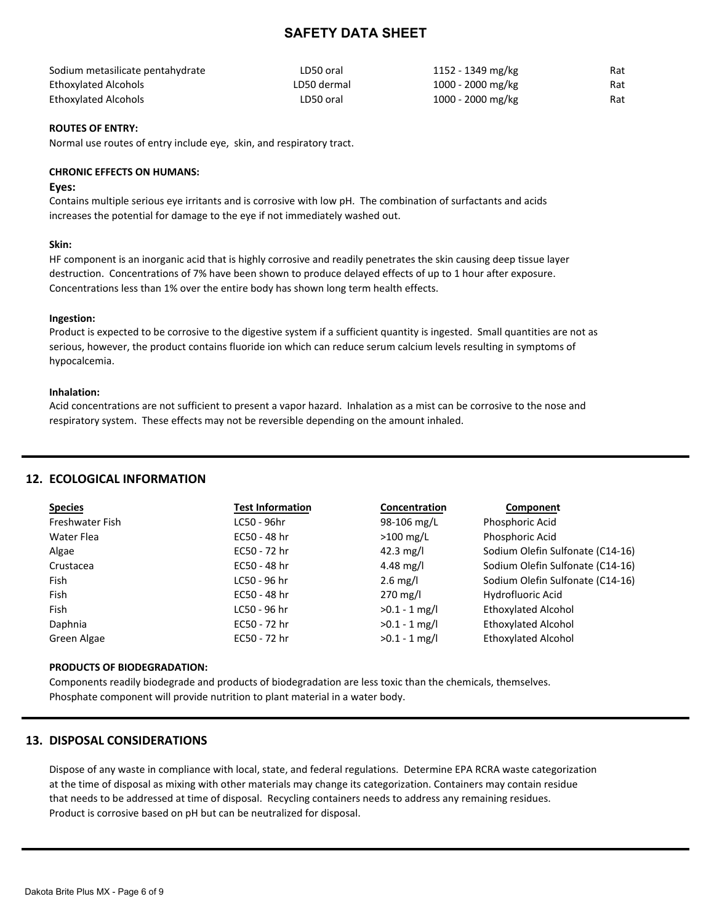| Sodium metasilicate pentahydrate | LD50 oral   | 1152 - 1349 mg/kg | Rat |
|----------------------------------|-------------|-------------------|-----|
| Ethoxylated Alcohols             | LD50 dermal | 1000 - 2000 mg/kg | Rat |
| <b>Ethoxylated Alcohols</b>      | LD50 oral   | 1000 - 2000 mg/kg | Rat |

### **ROUTES OF ENTRY:**

Normal use routes of entry include eye, skin, and respiratory tract.

### **CHRONIC EFFECTS ON HUMANS:**

### **Eyes:**

Contains multiple serious eye irritants and is corrosive with low pH. The combination of surfactants and acids increases the potential for damage to the eye if not immediately washed out.

### **Skin:**

HF component is an inorganic acid that is highly corrosive and readily penetrates the skin causing deep tissue layer destruction. Concentrations of 7% have been shown to produce delayed effects of up to 1 hour after exposure. Concentrations less than 1% over the entire body has shown long term health effects.

### **Ingestion:**

Product is expected to be corrosive to the digestive system if a sufficient quantity is ingested. Small quantities are not as serious, however, the product contains fluoride ion which can reduce serum calcium levels resulting in symptoms of hypocalcemia.

### **Inhalation:**

Acid concentrations are not sufficient to present a vapor hazard. Inhalation as a mist can be corrosive to the nose and respiratory system. These effects may not be reversible depending on the amount inhaled.

# **12. ECOLOGICAL INFORMATION**

| <b>Species</b>  | <b>Test Information</b> | Concentration      | Component                        |
|-----------------|-------------------------|--------------------|----------------------------------|
| Freshwater Fish | LC50 - 96hr             | 98-106 mg/L        | Phosphoric Acid                  |
| Water Flea      | EC50 - 48 hr            | $>100$ mg/L        | Phosphoric Acid                  |
| Algae           | EC50 - 72 hr            | 42.3 mg/l          | Sodium Olefin Sulfonate (C14-16) |
| Crustacea       | EC50 - 48 hr            | 4.48 mg/l          | Sodium Olefin Sulfonate (C14-16) |
| Fish            | LC50 - 96 hr            | $2.6 \text{ mg/l}$ | Sodium Olefin Sulfonate (C14-16) |
| Fish            | EC50 - 48 hr            | $270$ mg/l         | Hydrofluoric Acid                |
| Fish            | LC50 - 96 hr            | $>0.1 - 1$ mg/l    | <b>Ethoxylated Alcohol</b>       |
| Daphnia         | EC50 - 72 hr            | $>0.1 - 1$ mg/l    | <b>Ethoxylated Alcohol</b>       |
| Green Algae     | EC50 - 72 hr            | $>0.1 - 1$ mg/l    | <b>Ethoxylated Alcohol</b>       |

### **PRODUCTS OF BIODEGRADATION:**

Components readily biodegrade and products of biodegradation are less toxic than the chemicals, themselves. Phosphate component will provide nutrition to plant material in a water body.

# **13. DISPOSAL CONSIDERATIONS**

Dispose of any waste in compliance with local, state, and federal regulations. Determine EPA RCRA waste categorization at the time of disposal as mixing with other materials may change its categorization. Containers may contain residue that needs to be addressed at time of disposal. Recycling containers needs to address any remaining residues. Product is corrosive based on pH but can be neutralized for disposal.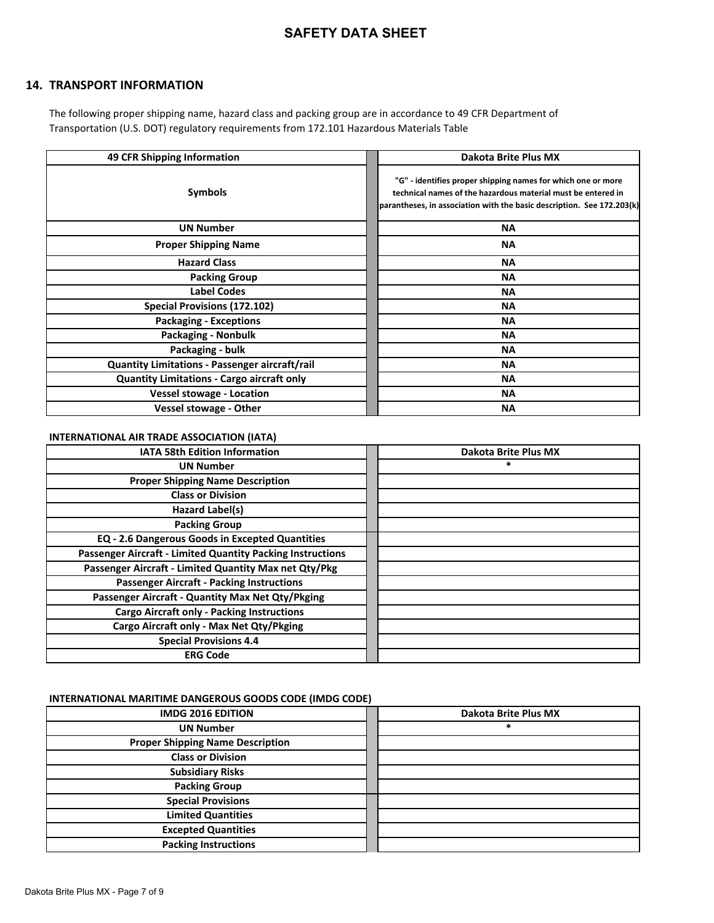# **14. TRANSPORT INFORMATION**

The following proper shipping name, hazard class and packing group are in accordance to 49 CFR Department of Transportation (U.S. DOT) regulatory requirements from 172.101 Hazardous Materials Table

| 49 CFR Shipping Information                       | Dakota Brite Plus MX                                                                                                                                                                                   |
|---------------------------------------------------|--------------------------------------------------------------------------------------------------------------------------------------------------------------------------------------------------------|
| Symbols                                           | "G" - identifies proper shipping names for which one or more<br>technical names of the hazardous material must be entered in<br>parantheses, in association with the basic description. See 172.203(k) |
| <b>UN Number</b>                                  | <b>NA</b>                                                                                                                                                                                              |
| <b>Proper Shipping Name</b>                       | ΝA                                                                                                                                                                                                     |
| <b>Hazard Class</b>                               | <b>NA</b>                                                                                                                                                                                              |
| <b>Packing Group</b>                              | <b>NA</b>                                                                                                                                                                                              |
| <b>Label Codes</b>                                | <b>NA</b>                                                                                                                                                                                              |
| <b>Special Provisions (172.102)</b>               | <b>NA</b>                                                                                                                                                                                              |
| <b>Packaging - Exceptions</b>                     | ΝA                                                                                                                                                                                                     |
| <b>Packaging - Nonbulk</b>                        | <b>NA</b>                                                                                                                                                                                              |
| Packaging - bulk                                  | <b>NA</b>                                                                                                                                                                                              |
| Quantity Limitations - Passenger aircraft/rail    | ΝA                                                                                                                                                                                                     |
| <b>Quantity Limitations - Cargo aircraft only</b> | ΝA                                                                                                                                                                                                     |
| <b>Vessel stowage - Location</b>                  | <b>NA</b>                                                                                                                                                                                              |
| <b>Vessel stowage - Other</b>                     | ΝA                                                                                                                                                                                                     |

### **INTERNATIONAL AIR TRADE ASSOCIATION (IATA)**

| <b>IATA 58th Edition Information</b>                              | Dakota Brite Plus MX |
|-------------------------------------------------------------------|----------------------|
| <b>UN Number</b>                                                  | $\ast$               |
| <b>Proper Shipping Name Description</b>                           |                      |
| <b>Class or Division</b>                                          |                      |
| Hazard Label(s)                                                   |                      |
| <b>Packing Group</b>                                              |                      |
| <b>EQ - 2.6 Dangerous Goods in Excepted Quantities</b>            |                      |
| <b>Passenger Aircraft - Limited Quantity Packing Instructions</b> |                      |
| Passenger Aircraft - Limited Quantity Max net Qty/Pkg             |                      |
| <b>Passenger Aircraft - Packing Instructions</b>                  |                      |
| Passenger Aircraft - Quantity Max Net Qty/Pkging                  |                      |
| <b>Cargo Aircraft only - Packing Instructions</b>                 |                      |
| Cargo Aircraft only - Max Net Qty/Pkging                          |                      |
| <b>Special Provisions 4.4</b>                                     |                      |
| <b>ERG Code</b>                                                   |                      |

### **INTERNATIONAL MARITIME DANGEROUS GOODS CODE (IMDG CODE)**

| <b>IMDG 2016 EDITION</b>                | Dakota Brite Plus MX |
|-----------------------------------------|----------------------|
| <b>UN Number</b>                        | $\ast$               |
| <b>Proper Shipping Name Description</b> |                      |
| <b>Class or Division</b>                |                      |
| <b>Subsidiary Risks</b>                 |                      |
| <b>Packing Group</b>                    |                      |
| <b>Special Provisions</b>               |                      |
| <b>Limited Quantities</b>               |                      |
| <b>Excepted Quantities</b>              |                      |
| <b>Packing Instructions</b>             |                      |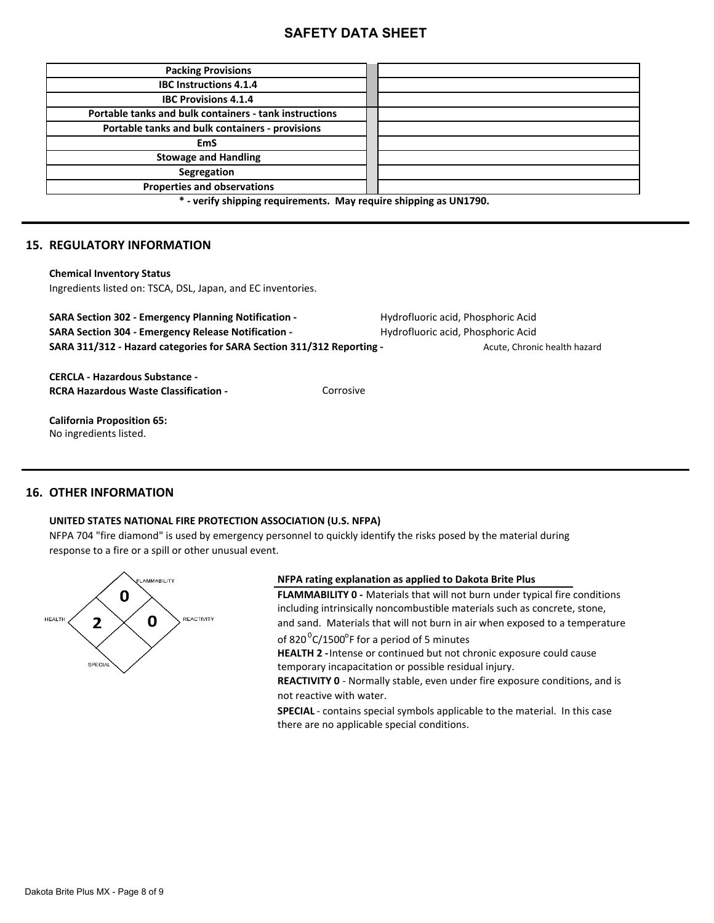| <b>Packing Provisions</b>                                          |  |
|--------------------------------------------------------------------|--|
| <b>IBC Instructions 4.1.4</b>                                      |  |
| <b>IBC Provisions 4.1.4</b>                                        |  |
| Portable tanks and bulk containers - tank instructions             |  |
| Portable tanks and bulk containers - provisions                    |  |
| <b>EmS</b>                                                         |  |
| <b>Stowage and Handling</b>                                        |  |
| Segregation                                                        |  |
| <b>Properties and observations</b>                                 |  |
| $*$ usify eliminate requirements. More require eliminate as UN4700 |  |

**\* - verify shipping requirements. May require shipping as UN1790.**

# **15. REGULATORY INFORMATION**

#### **Chemical Inventory Status**

Ingredients listed on: TSCA, DSL, Japan, and EC inventories.

| <b>SARA Section 302 - Emergency Planning Notification -</b><br><b>SARA Section 304 - Emergency Release Notification -</b> |           | Hydrofluoric acid, Phosphoric Acid<br>Hydrofluoric acid, Phosphoric Acid |  |
|---------------------------------------------------------------------------------------------------------------------------|-----------|--------------------------------------------------------------------------|--|
| SARA 311/312 - Hazard categories for SARA Section 311/312 Reporting -                                                     |           | Acute, Chronic health hazard                                             |  |
| <b>CERCLA - Hazardous Substance -</b>                                                                                     |           |                                                                          |  |
| <b>RCRA Hazardous Waste Classification -</b>                                                                              | Corrosive |                                                                          |  |
| <b>California Proposition 65:</b>                                                                                         |           |                                                                          |  |
| No ingredients listed.                                                                                                    |           |                                                                          |  |

# **16. OTHER INFORMATION**

### **UNITED STATES NATIONAL FIRE PROTECTION ASSOCIATION (U.S. NFPA)**

NFPA 704 "fire diamond" is used by emergency personnel to quickly identify the risks posed by the material during response to a fire or a spill or other unusual event.



### **NFPA rating explanation as applied to Dakota Brite Plus**

**FLAMMABILITY 0 -** Materials that will not burn under typical fire conditions including intrinsically noncombustible materials such as concrete, stone, and sand. Materials that will not burn in air when exposed to a temperature

of 820 $^{0}$ C/1500 $^{0}$ F for a period of 5 minutes

**HEALTH 2 -** Intense or continued but not chronic exposure could cause temporary incapacitation or possible residual injury.

not reactive with water. **REACTIVITY 0** - Normally stable, even under fire exposure conditions, and is

**SPECIAL** - contains special symbols applicable to the material. In this case there are no applicable special conditions.